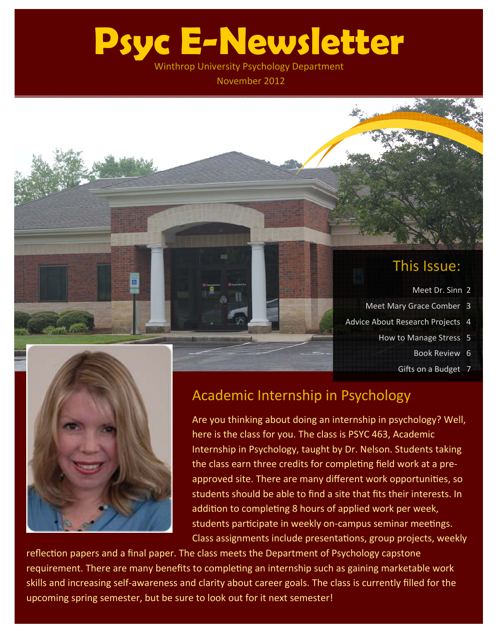# **Psyc E-Newsletter**

Winthrop University Psychology Department

November 2012

## This Issue:

- Meet Dr. Sinn 2
- Meet Mary Grace Comber 3
- Advice About Research Projects 4
	- How to Manage Stress 5
		- Book Review 6
		- Gifts on a Budget 7



ब

### Academic Internship in Psychology

Are you thinking about doing an internship in psychology? Well, here is the class for you. The class is PSYC 463, Academic Internship in Psychology, taught by Dr. Nelson. Students taking the class earn three credits for completing field work at a preapproved site. There are many different work opportunities, so students should be able to find a site that fits their interests. In addition to completing 8 hours of applied work per week, students participate in weekly on-campus seminar meetings. Class assignments include presentations, group projects, weekly

reflection papers and a final paper. The class meets the Department of Psychology capstone requirement. There are many benefits to completing an internship such as gaining marketable work skills and increasing self‐awareness and clarity about career goals. The class is currently filled for the upcoming spring semester, but be sure to look out for it next semester!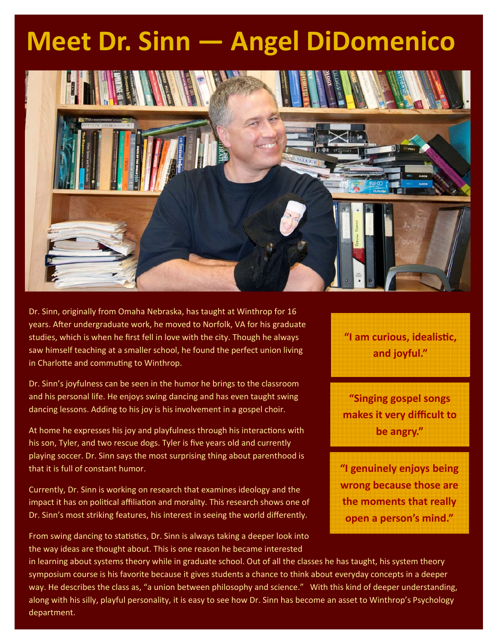## **Meet Dr. Sinn — Angel DiDomenico**



Dr. Sinn, originally from Omaha Nebraska, has taught at Winthrop for 16 years. After undergraduate work, he moved to Norfolk, VA for his graduate studies, which is when he first fell in love with the city. Though he always saw himself teaching at a smaller school, he found the perfect union living in Charlotte and commuting to Winthrop.

Dr. Sinn's joyfulness can be seen in the humor he brings to the classroom and his personal life. He enjoys swing dancing and has even taught swing dancing lessons. Adding to his joy is his involvement in a gospel choir.

At home he expresses his joy and playfulness through his interactions with his son, Tyler, and two rescue dogs. Tyler is five years old and currently playing soccer. Dr. Sinn says the most surprising thing about parenthood is that it is full of constant humor.

Currently, Dr. Sinn is working on research that examines ideology and the impact it has on political affiliation and morality. This research shows one of Dr. Sinn's most striking features, his interest in seeing the world differently.

From swing dancing to statistics, Dr. Sinn is always taking a deeper look into the way ideas are thought about. This is one reason he became interested

**"I am curious, idealisƟc, and joyful."**

**"Singing gospel songs makes it very difficult to be angry."**

**"I genuinely enjoys being wrong because those are the moments that really open a person's mind."**

in learning about systems theory while in graduate school. Out of all the classes he has taught, his system theory symposium course is his favorite because it gives students a chance to think about everyday concepts in a deeper way. He describes the class as, "a union between philosophy and science." With this kind of deeper understanding, along with his silly, playful personality, it is easy to see how Dr. Sinn has become an asset to Winthrop's Psychology department.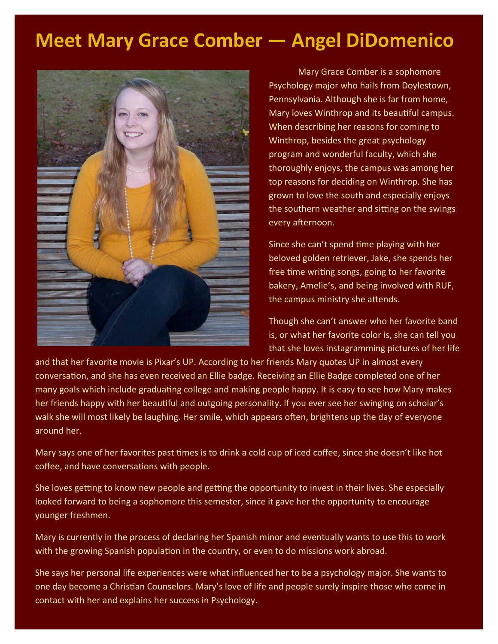## **Meet Mary Grace Comber — Angel DiDomenico**



Mary Grace Comber is a sophomore Psychology major who hails from Doylestown, Pennsylvania. Although she is far from home, Mary loves Winthrop and its beautiful campus. When describing her reasons for coming to Winthrop, besides the great psychology program and wonderful faculty, which she thoroughly enjoys, the campus was among her top reasons for deciding on Winthrop. She has grown to love the south and especially enjoys the southern weather and sitting on the swings every afternoon.

Since she can't spend time playing with her beloved golden retriever, Jake, she spends her free time writing songs, going to her favorite bakery, Amelie's, and being involved with RUF, the campus ministry she attends.

Though she can't answer who her favorite band is, or what her favorite color is, she can tell you that she loves instagramming pictures of her life

and that her favorite movie is Pixar's UP. According to her friends Mary quotes UP in almost every conversation, and she has even received an Ellie badge. Receiving an Ellie Badge completed one of her many goals which include graduating college and making people happy. It is easy to see how Mary makes her friends happy with her beautiful and outgoing personality. If you ever see her swinging on scholar's walk she will most likely be laughing. Her smile, which appears often, brightens up the day of everyone around her.

Mary says one of her favorites past times is to drink a cold cup of iced coffee, since she doesn't like hot coffee, and have conversations with people.

She loves getting to know new people and getting the opportunity to invest in their lives. She especially looked forward to being a sophomore this semester, since it gave her the opportunity to encourage younger freshmen.

Mary is currently in the process of declaring her Spanish minor and eventually wants to use this to work with the growing Spanish population in the country, or even to do missions work abroad.

She says her personal life experiences were what influenced her to be a psychology major. She wants to one day become a Christian Counselors. Mary's love of life and people surely inspire those who come in contact with her and explains her success in Psychology.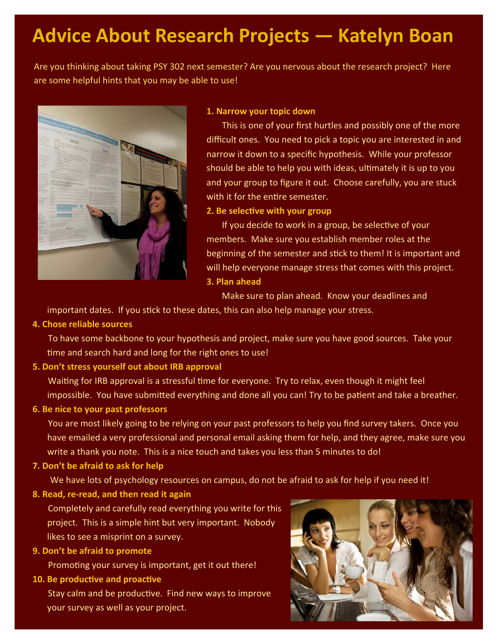## **Advice About Research Projects — Katelyn Boan**

Are you thinking about taking PSY 302 next semester? Are you nervous about the research project? Here are some helpful hints that you may be able to use!



#### **1. Narrow your topic down**

 This is one of your first hurtles and possibly one of the more difficult ones. You need to pick a topic you are interested in and narrow it down to a specific hypothesis. While your professor should be able to help you with ideas, ultimately it is up to you and your group to figure it out. Choose carefully, you are stuck with it for the entire semester.

#### **2. Be selecƟve with your group**

If you decide to work in a group, be selective of your members. Make sure you establish member roles at the beginning of the semester and stick to them! It is important and will help everyone manage stress that comes with this project. **3. Plan ahead**

Make sure to plan ahead. Know your deadlines and

important dates. If you stick to these dates, this can also help manage your stress.

#### **4. Chose reliable sources**

 To have some backbone to your hypothesis and project, make sure you have good sources. Take your time and search hard and long for the right ones to use!

#### **5. Don't stress yourself out about IRB approval**

Waiting for IRB approval is a stressful time for everyone. Try to relax, even though it might feel impossible. You have submitted everything and done all you can! Try to be patient and take a breather.

#### **6. Be nice to your past professors**

 You are most likely going to be relying on your past professors to help you find survey takers. Once you have emailed a very professional and personal email asking them for help, and they agree, make sure you write a thank you note. This is a nice touch and takes you less than 5 minutes to do!

#### **7. Don't be afraid to ask for help**

We have lots of psychology resources on campus, do not be afraid to ask for help if you need it!

#### **8. Read, re‐read, and then read it again**

 Completely and carefully read everything you write for this project. This is a simple hint but very important. Nobody likes to see a misprint on a survey.

#### **9. Don't be afraid to promote**

Promoting your survey is important, get it out there!

#### **10. Be producƟve and proacƟve**

Stay calm and be productive. Find new ways to improve your survey as well as your project.

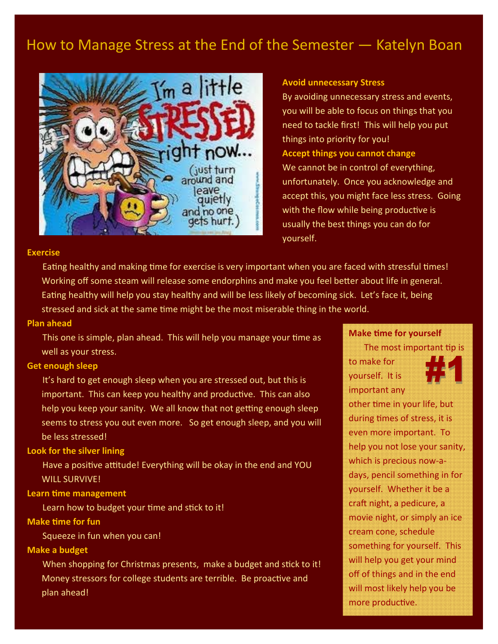## How to Manage Stress at the End of the Semester — Katelyn Boan



#### **Avoid unnecessary Stress**

you will be able to focus on things that you need to tackle first! This will help you put things into priority for you! **Accept things you cannot change** (just turn We cannot be in control of everything, unfortunately. Once you acknowledge and accept this, you might face less stress. Going with the flow while being productive is usually the best things you can do for yourself.

#### **Exercise**

Eating healthy and making time for exercise is very important when you are faced with stressful times! Working off some steam will release some endorphins and make you feel better about life in general. Eating healthy will help you stay healthy and will be less likely of becoming sick. Let's face it, being stressed and sick at the same time might be the most miserable thing in the world.

#### **Plan ahead**

This one is simple, plan ahead. This will help you manage your time as well as your stress.

#### **Get enough sleep**

 It's hard to get enough sleep when you are stressed out, but this is important. This can keep you healthy and productive. This can also help you keep your sanity. We all know that not getting enough sleep seems to stress you out even more. So get enough sleep, and you will be less stressed!

#### **Look for the silver lining**

Have a positive attitude! Everything will be okay in the end and YOU WILL SURVIVE!

#### **Learn Ɵme management**

Learn how to budget your time and stick to it!

#### **Make Ɵme for fun**

Squeeze in fun when you can!

#### **Make a budget**

When shopping for Christmas presents, make a budget and stick to it! Money stressors for college students are terrible. Be proactive and plan ahead!

#### **Make Ɵme for yourself**

The most important tip is





other time in your life, but during times of stress, it is even more important. To help you not lose your sanity, which is precious now-adays, pencil something in for yourself. Whether it be a craft night, a pedicure, a movie night, or simply an ice cream cone, schedule something for yourself. This will help you get your mind off of things and in the end will most likely help you be more productive.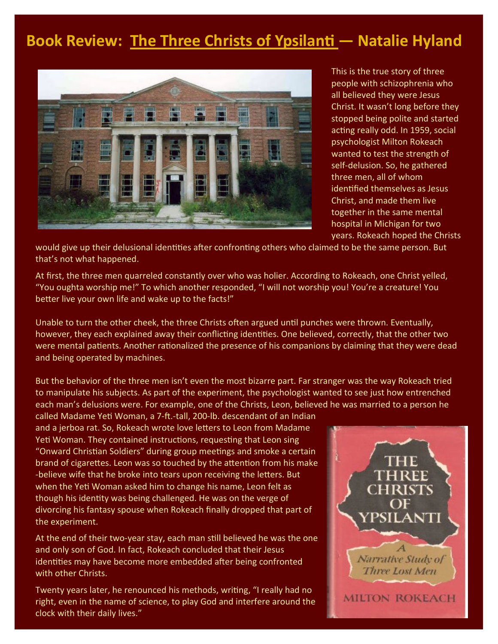## **Book Review: The Three Christs of YpsilanƟ — Natalie Hyland**



This is the true story of three people with schizophrenia who all believed they were Jesus Christ. It wasn't long before they stopped being polite and started acting really odd. In 1959, social psychologist Milton Rokeach wanted to test the strength of self-delusion. So, he gathered three men, all of whom identified themselves as Jesus Christ, and made them live together in the same mental hospital in Michigan for two years. Rokeach hoped the Christs

would give up their delusional identities after confronting others who claimed to be the same person. But that's not what happened.

At first, the three men quarreled constantly over who was holier. According to Rokeach, one Christ yelled, "You oughta worship me!" To which another responded, "I will not worship you! You're a creature! You better live your own life and wake up to the facts!"

Unable to turn the other cheek, the three Christs often argued until punches were thrown. Eventually, however, they each explained away their conflicting identities. One believed, correctly, that the other two were mental patients. Another rationalized the presence of his companions by claiming that they were dead and being operated by machines.

But the behavior of the three men isn't even the most bizarre part. Far stranger was the way Rokeach tried to manipulate his subjects. As part of the experiment, the psychologist wanted to see just how entrenched each man's delusions were. For example, one of the Christs, Leon, believed he was married to a person he

called Madame Yeti Woman, a 7-ft.-tall, 200-lb. descendant of an Indian and a jerboa rat. So, Rokeach wrote love letters to Leon from Madame Yeti Woman. They contained instructions, requesting that Leon sing "Onward Christian Soldiers" during group meetings and smoke a certain brand of cigarettes. Leon was so touched by the attention from his make -believe wife that he broke into tears upon receiving the letters. But when the Yeti Woman asked him to change his name, Leon felt as though his identity was being challenged. He was on the verge of divorcing his fantasy spouse when Rokeach finally dropped that part of the experiment.

At the end of their two-year stay, each man still believed he was the one and only son of God. In fact, Rokeach concluded that their Jesus identities may have become more embedded after being confronted with other Christs.

Twenty years later, he renounced his methods, writing, "I really had no right, even in the name of science, to play God and interfere around the clock with their daily lives."